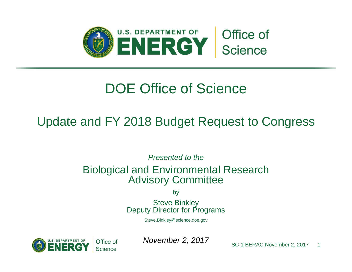

## DOE Office of Science

## Update and FY 2018 Budget Request to Congress

*Presented to the* 

## Biological and Environmental Research Advisory Committee

by

Steve Binkley Deputy Director for Programs

[Steve.Binkley@science.doe.gov](mailto:Steve.Binkley@science.doe.gov) 



**November 2, 2017** SC-1 BERAC November 2, 2017 1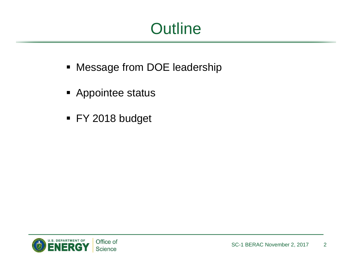# **Outline**

- **Message from DOE leadership**
- **Appointee status**
- FY 2018 budget

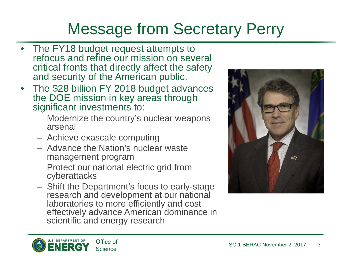# Message from Secretary Perry

- The FY18 budget request attempts to refocus and refine our mission on several critical fronts that directly affect the safety and security of the American public.
- The \$28 billion FY 2018 budget advances the DOE mission in key areas through significant investments to:
	- Modernize the country's nuclear weapons arsenal
	- Achieve exascale computing
	- Advance the Nation's nuclear waste management program
	- Protect our national electric grid from cyberattacks
	- Shift the Department's focus to early-stage research and development at our national laboratories to more efficiently and cost effectively advance American dominance in scientific and energy research



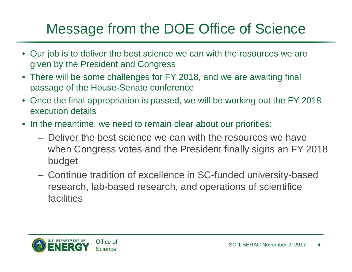# Message from the DOE Office of Science

- Our job is to deliver the best science we can with the resources we are given by the President and Congress
- There will be some challenges for FY 2018, and we are awaiting final passage of the House-Senate conference
- Once the final appropriation is passed, we will be working out the FY 2018 execution details
- In the meantime, we need to remain clear about our priorities:
	- Deliver the best science we can with the resources we have when Congress votes and the President finally signs an FY 2018 budget
	- Continue tradition of excellence in SC-funded university-based research, lab-based research, and operations of scientifice facilities

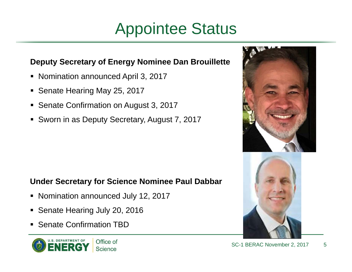# Appointee Status

## **Deputy Secretary of Energy Nominee Dan Brouillette**

- Nomination announced April 3, 2017
- п Senate Hearing May 25, 2017
- $\blacksquare$ Senate Confirmation on August 3, 2017
- Sworn in as Deputy Secretary, August 7, 2017

## **Under Secretary for Science Nominee Paul Dabbar**

- Nomination announced July 12, 2017
- Е Senate Hearing July 20, 2016
- Senate Confirmation TBD



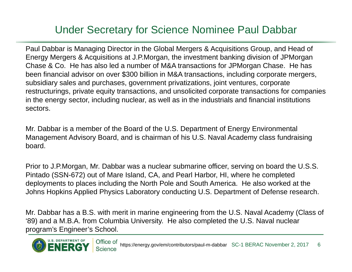## Under Secretary for Science Nominee Paul Dabbar

Paul Dabbar is Managing Director in the Global Mergers & Acquisitions Group, and Head of Energy Mergers & Acquisitions at J.P.Morgan, the investment banking division of JPMorgan Chase & Co. He has also led a number of M&A transactions for JPMorgan Chase. He has been financial advisor on over \$300 billion in M&A transactions, including corporate mergers, subsidiary sales and purchases, government privatizations, joint ventures, corporate restructurings, private equity transactions, and unsolicited corporate transactions for companies in the energy sector, including nuclear, as well as in the industrials and financial institutions sectors.

Mr. Dabbar is a member of the Board of the U.S. Department of Energy Environmental Management Advisory Board, and is chairman of his U.S. Naval Academy class fundraising board.

Prior to J.P.Morgan, Mr. Dabbar was a nuclear submarine officer, serving on board the U.S.S. Pintado (SSN-672) out of Mare Island, CA, and Pearl Harbor, HI, where he completed deployments to places including the North Pole and South America. He also worked at the Johns Hopkins Applied Physics Laboratory conducting U.S. Department of Defense research.

Mr. Dabbar has a B.S. with merit in marine engineering from the U.S. Naval Academy (Class of '89) and a M.B.A. from Columbia University. He also completed the U.S. Naval nuclear program's Engineer's School.

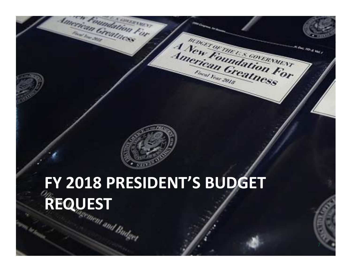

American Greatness

Imerican Greatmes

Coundation For

**APTACTY** 

# **FY 2018 PRESIDENT'S BUDGET REQUEST**

7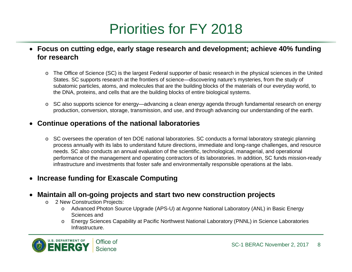# Priorities for FY 2018

- **Focus on cutting edge, early stage research and development; achieve 40% funding for research** 
	- o The Office of Science (SC) is the largest Federal supporter of basic research in the physical sciences in the United States. SC supports research at the frontiers of science—discovering nature's mysteries, from the study of subatomic particles, atoms, and molecules that are the building blocks of the materials of our everyday world, to the DNA, proteins, and cells that are the building blocks of entire biological systems.
	- o SC also supports science for energy—advancing a clean energy agenda through fundamental research on energy production, conversion, storage, transmission, and use, and through advancing our understanding of the earth.

### $\bullet$ **Continue operations of the national laboratories**

 $\circ$  SC oversees the operation of ten DOE national laboratories. SC conducts a formal laboratory strategic planning process annually with its labs to understand future directions, immediate and long-range challenges, and resource needs. SC also conducts an annual evaluation of the scientific, technological, managerial, and operational performance of the management and operating contractors of its laboratories. In addition, SC funds mission-ready infrastructure and investments that foster safe and environmentally responsible operations at the labs.

### $\bullet$ **Increase funding for Exascale Computing**

### $\bullet$ **Maintain all on-going projects and start two new construction projects**

- o 2 New Construction Projects:
	- o Advanced Photon Source Upgrade (APS-U) at Argonne National Laboratory (ANL) in Basic Energy Sciences and
	- o Energy Sciences Capability at Pacific Northwest National Laboratory (PNNL) in Science Laboratories Infrastructure.

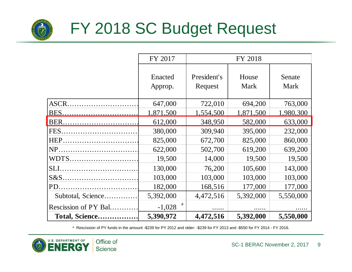

# FY 2018 SC Budget Request

|                      | FY 2017       | FY 2018     |           |           |
|----------------------|---------------|-------------|-----------|-----------|
|                      |               |             |           |           |
|                      | Enacted       | President's | House     | Senate    |
|                      | Approp.       | Request     | Mark      | Mark      |
|                      |               |             |           |           |
| ASCR.                | 647,000       | 722,010     | 694,200   | 763,000   |
| BES.                 | 1,871,500     | 1,554,500   | 1,871,500 | 1,980,300 |
| BER <u></u>          | 612,000       | 348,950     | 582,000   | 633,000   |
| FES.                 | 380,000       | 309,940     | 395,000   | 232,000   |
| HEP.                 | 825,000       | 672,700     | 825,000   | 860,000   |
| NP.                  | 622,000       | 502,700     | 619,200   | 639,200   |
| WDTS                 | 19,500        | 14,000      | 19,500    | 19,500    |
| SLI                  | 130,000       | 76,200      | 105,600   | 143,000   |
| $S&S$                | 103,000       | 103,000     | 103,000   | 103,000   |
| PD.                  | 182,000       | 168,516     | 177,000   | 177,000   |
| Subtotal, Science    | 5,392,000     | 4,472,516   | 5,392,000 | 5,550,000 |
| Rescission of PY Bal | a<br>$-1,028$ |             |           |           |
| Total, Science       | 5,390,972     | 4,472,516   | 5,392,000 | 5,550,000 |

a Rescission of PY funds in the amount -\$239 for PY 2012 and older: -\$239 for FY 2013 and -\$550 for FY 2014 - FY 2016.